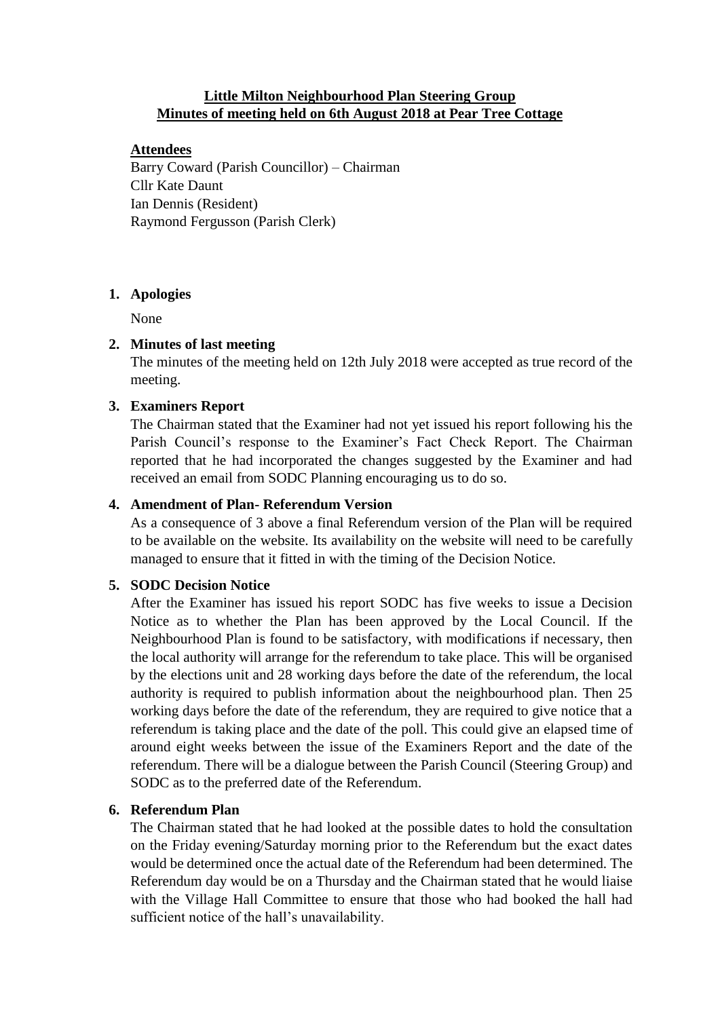# **Little Milton Neighbourhood Plan Steering Group Minutes of meeting held on 6th August 2018 at Pear Tree Cottage**

# **Attendees**

Barry Coward (Parish Councillor) – Chairman Cllr Kate Daunt Ian Dennis (Resident) Raymond Fergusson (Parish Clerk)

# **1. Apologies**

None

# **2. Minutes of last meeting**

The minutes of the meeting held on 12th July 2018 were accepted as true record of the meeting.

# **3. Examiners Report**

The Chairman stated that the Examiner had not yet issued his report following his the Parish Council's response to the Examiner's Fact Check Report. The Chairman reported that he had incorporated the changes suggested by the Examiner and had received an email from SODC Planning encouraging us to do so.

# **4. Amendment of Plan- Referendum Version**

As a consequence of 3 above a final Referendum version of the Plan will be required to be available on the website. Its availability on the website will need to be carefully managed to ensure that it fitted in with the timing of the Decision Notice.

### **5. SODC Decision Notice**

After the Examiner has issued his report SODC has five weeks to issue a Decision Notice as to whether the Plan has been approved by the Local Council. If the Neighbourhood Plan is found to be satisfactory, with modifications if necessary, then the local authority will arrange for the referendum to take place. This will be organised by the elections unit and 28 working days before the date of the referendum, the local authority is required to publish information about the neighbourhood plan. Then 25 working days before the date of the referendum, they are required to give notice that a referendum is taking place and the date of the poll. This could give an elapsed time of around eight weeks between the issue of the Examiners Report and the date of the referendum. There will be a dialogue between the Parish Council (Steering Group) and SODC as to the preferred date of the Referendum.

### **6. Referendum Plan**

The Chairman stated that he had looked at the possible dates to hold the consultation on the Friday evening/Saturday morning prior to the Referendum but the exact dates would be determined once the actual date of the Referendum had been determined. The Referendum day would be on a Thursday and the Chairman stated that he would liaise with the Village Hall Committee to ensure that those who had booked the hall had sufficient notice of the hall's unavailability.